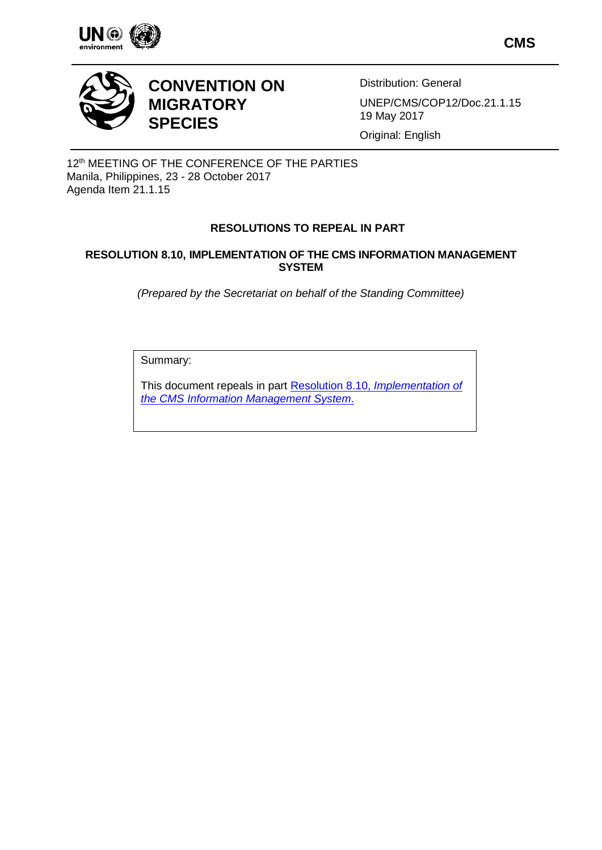

**CMS**



# **CONVENTION ON MIGRATORY SPECIES**

Distribution: General

UNEP/CMS/COP12/Doc.21.1.15 19 May 2017

Original: English

12<sup>th</sup> MEETING OF THE CONFERENCE OF THE PARTIES Manila, Philippines, 23 - 28 October 2017 Agenda Item 21.1.15

# **RESOLUTIONS TO REPEAL IN PART**

## **RESOLUTION 8.10, IMPLEMENTATION OF THE CMS INFORMATION MANAGEMENT SYSTEM**

*(Prepared by the Secretariat on behalf of the Standing Committee)*

Summary:

This document repeals in part Resolution 8.10, *[Implementation of](http://www.cms.int/en/document/implementation-cms-information-management-system-ims)  [the CMS Information Management System](http://www.cms.int/en/document/implementation-cms-information-management-system-ims)*.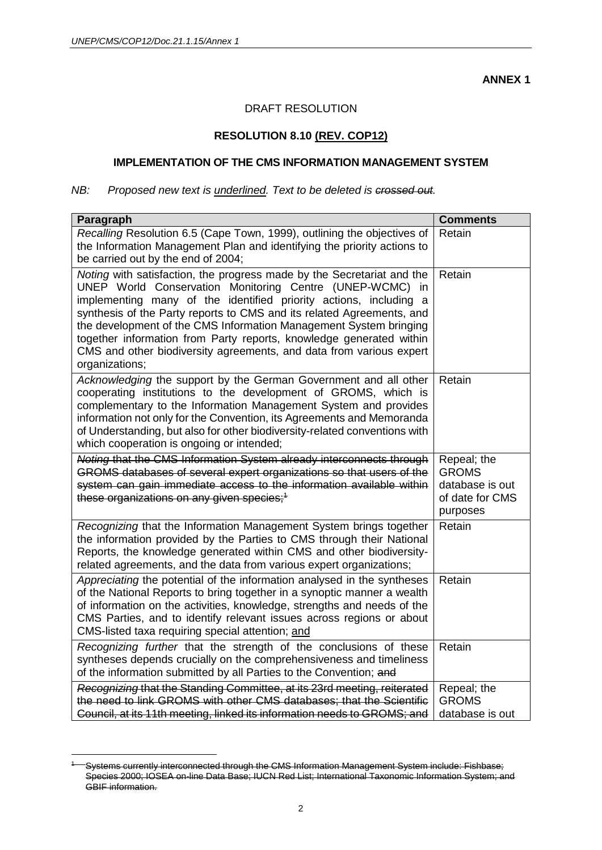**ANNEX 1**

## DRAFT RESOLUTION

## **RESOLUTION 8.10 (REV. COP12)**

# **IMPLEMENTATION OF THE CMS INFORMATION MANAGEMENT SYSTEM**

### *NB: Proposed new text is underlined. Text to be deleted is crossed out.*

| Paragraph                                                                                                                                                                                                                                                                                                                                                                                                                                                                                                                 | <b>Comments</b>                                                               |
|---------------------------------------------------------------------------------------------------------------------------------------------------------------------------------------------------------------------------------------------------------------------------------------------------------------------------------------------------------------------------------------------------------------------------------------------------------------------------------------------------------------------------|-------------------------------------------------------------------------------|
| Recalling Resolution 6.5 (Cape Town, 1999), outlining the objectives of<br>the Information Management Plan and identifying the priority actions to<br>be carried out by the end of 2004;                                                                                                                                                                                                                                                                                                                                  | Retain                                                                        |
| Noting with satisfaction, the progress made by the Secretariat and the<br>UNEP World Conservation Monitoring Centre (UNEP-WCMC)<br>in.<br>implementing many of the identified priority actions, including a<br>synthesis of the Party reports to CMS and its related Agreements, and<br>the development of the CMS Information Management System bringing<br>together information from Party reports, knowledge generated within<br>CMS and other biodiversity agreements, and data from various expert<br>organizations; | Retain                                                                        |
| Acknowledging the support by the German Government and all other<br>cooperating institutions to the development of GROMS, which is<br>complementary to the Information Management System and provides<br>information not only for the Convention, its Agreements and Memoranda<br>of Understanding, but also for other biodiversity-related conventions with<br>which cooperation is ongoing or intended;                                                                                                                 | Retain                                                                        |
| Noting that the CMS Information System already interconnects through<br>GROMS databases of several expert organizations so that users of the<br>system can gain immediate access to the information available within<br>these organizations on any given species; <sup>1</sup>                                                                                                                                                                                                                                            | Repeal; the<br><b>GROMS</b><br>database is out<br>of date for CMS<br>purposes |
| Recognizing that the Information Management System brings together<br>the information provided by the Parties to CMS through their National<br>Reports, the knowledge generated within CMS and other biodiversity-<br>related agreements, and the data from various expert organizations;                                                                                                                                                                                                                                 | Retain                                                                        |
| Appreciating the potential of the information analysed in the syntheses<br>of the National Reports to bring together in a synoptic manner a wealth<br>of information on the activities, knowledge, strengths and needs of the<br>CMS Parties, and to identify relevant issues across regions or about<br>CMS-listed taxa requiring special attention; and                                                                                                                                                                 | Retain                                                                        |
| Recognizing further that the strength of the conclusions of these<br>syntheses depends crucially on the comprehensiveness and timeliness<br>of the information submitted by all Parties to the Convention; and                                                                                                                                                                                                                                                                                                            | Retain                                                                        |
| Recognizing that the Standing Committee, at its 23rd meeting, reiterated<br>the need to link GROMS with other CMS databases; that the Scientific<br>Council, at its 11th meeting, linked its information needs to GROMS; and                                                                                                                                                                                                                                                                                              | Repeal; the<br><b>GROMS</b><br>database is out                                |

Systems currently interconnected through the CMS Information Management System include: Fishbase; Species 2000; IOSEA on-line Data Base; IUCN Red List; International Taxonomic Information System; and GBIF information.

 $\overline{a}$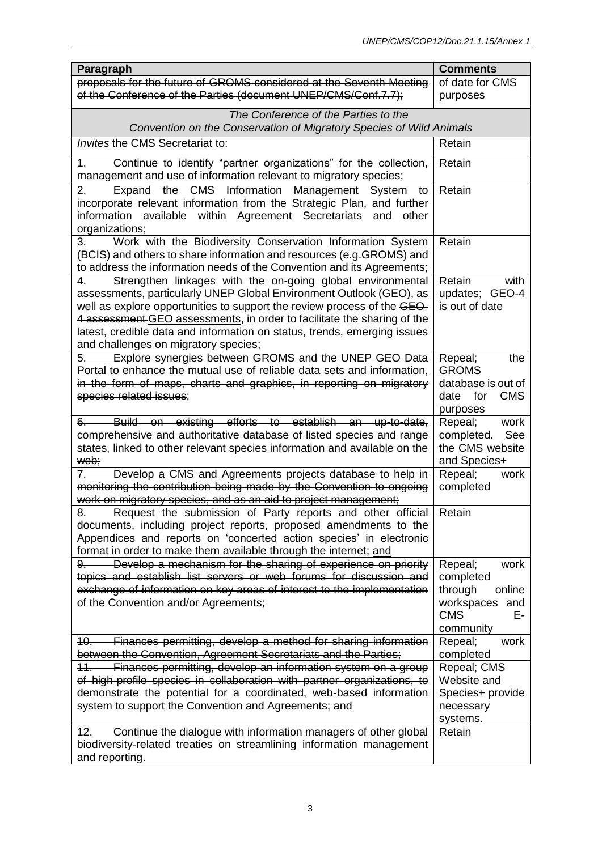| Paragraph<br>proposals for the future of GROMS considered at the Seventh Meeting<br>of date for CMS<br>of the Conference of the Parties (document UNEP/CMS/Conf.7.7);<br>purposes<br>The Conference of the Parties to the<br>Convention on the Conservation of Migratory Species of Wild Animals<br>Invites the CMS Secretariat to:<br>Retain<br>Continue to identify "partner organizations" for the collection,<br>Retain<br>1.<br>management and use of information relevant to migratory species;<br>the CMS Information Management System to<br>2.<br>Retain<br>Expand<br>incorporate relevant information from the Strategic Plan, and further<br>available within Agreement Secretariats<br>information<br>and<br>other<br>organizations;<br>Work with the Biodiversity Conservation Information System<br>Retain<br>3.<br>(BCIS) and others to share information and resources (e.g. GROMS) and<br>to address the information needs of the Convention and its Agreements;<br>Strengthen linkages with the on-going global environmental<br>Retain<br>4.<br>with<br>assessments, particularly UNEP Global Environment Outlook (GEO), as<br>updates; GEO-4<br>well as explore opportunities to support the review process of the GEO-<br>is out of date<br>4 assessment GEO assessments, in order to facilitate the sharing of the<br>latest, credible data and information on status, trends, emerging issues<br>and challenges on migratory species;<br>Explore synergies between GROMS and the UNEP GEO Data<br>Repeal;<br>the<br>Portal to enhance the mutual use of reliable data sets and information,<br><b>GROMS</b> |
|------------------------------------------------------------------------------------------------------------------------------------------------------------------------------------------------------------------------------------------------------------------------------------------------------------------------------------------------------------------------------------------------------------------------------------------------------------------------------------------------------------------------------------------------------------------------------------------------------------------------------------------------------------------------------------------------------------------------------------------------------------------------------------------------------------------------------------------------------------------------------------------------------------------------------------------------------------------------------------------------------------------------------------------------------------------------------------------------------------------------------------------------------------------------------------------------------------------------------------------------------------------------------------------------------------------------------------------------------------------------------------------------------------------------------------------------------------------------------------------------------------------------------------------------------------------------------------------------------------------------------------|
|                                                                                                                                                                                                                                                                                                                                                                                                                                                                                                                                                                                                                                                                                                                                                                                                                                                                                                                                                                                                                                                                                                                                                                                                                                                                                                                                                                                                                                                                                                                                                                                                                                    |
|                                                                                                                                                                                                                                                                                                                                                                                                                                                                                                                                                                                                                                                                                                                                                                                                                                                                                                                                                                                                                                                                                                                                                                                                                                                                                                                                                                                                                                                                                                                                                                                                                                    |
|                                                                                                                                                                                                                                                                                                                                                                                                                                                                                                                                                                                                                                                                                                                                                                                                                                                                                                                                                                                                                                                                                                                                                                                                                                                                                                                                                                                                                                                                                                                                                                                                                                    |
|                                                                                                                                                                                                                                                                                                                                                                                                                                                                                                                                                                                                                                                                                                                                                                                                                                                                                                                                                                                                                                                                                                                                                                                                                                                                                                                                                                                                                                                                                                                                                                                                                                    |
|                                                                                                                                                                                                                                                                                                                                                                                                                                                                                                                                                                                                                                                                                                                                                                                                                                                                                                                                                                                                                                                                                                                                                                                                                                                                                                                                                                                                                                                                                                                                                                                                                                    |
|                                                                                                                                                                                                                                                                                                                                                                                                                                                                                                                                                                                                                                                                                                                                                                                                                                                                                                                                                                                                                                                                                                                                                                                                                                                                                                                                                                                                                                                                                                                                                                                                                                    |
|                                                                                                                                                                                                                                                                                                                                                                                                                                                                                                                                                                                                                                                                                                                                                                                                                                                                                                                                                                                                                                                                                                                                                                                                                                                                                                                                                                                                                                                                                                                                                                                                                                    |
|                                                                                                                                                                                                                                                                                                                                                                                                                                                                                                                                                                                                                                                                                                                                                                                                                                                                                                                                                                                                                                                                                                                                                                                                                                                                                                                                                                                                                                                                                                                                                                                                                                    |
|                                                                                                                                                                                                                                                                                                                                                                                                                                                                                                                                                                                                                                                                                                                                                                                                                                                                                                                                                                                                                                                                                                                                                                                                                                                                                                                                                                                                                                                                                                                                                                                                                                    |
|                                                                                                                                                                                                                                                                                                                                                                                                                                                                                                                                                                                                                                                                                                                                                                                                                                                                                                                                                                                                                                                                                                                                                                                                                                                                                                                                                                                                                                                                                                                                                                                                                                    |
|                                                                                                                                                                                                                                                                                                                                                                                                                                                                                                                                                                                                                                                                                                                                                                                                                                                                                                                                                                                                                                                                                                                                                                                                                                                                                                                                                                                                                                                                                                                                                                                                                                    |
|                                                                                                                                                                                                                                                                                                                                                                                                                                                                                                                                                                                                                                                                                                                                                                                                                                                                                                                                                                                                                                                                                                                                                                                                                                                                                                                                                                                                                                                                                                                                                                                                                                    |
|                                                                                                                                                                                                                                                                                                                                                                                                                                                                                                                                                                                                                                                                                                                                                                                                                                                                                                                                                                                                                                                                                                                                                                                                                                                                                                                                                                                                                                                                                                                                                                                                                                    |
|                                                                                                                                                                                                                                                                                                                                                                                                                                                                                                                                                                                                                                                                                                                                                                                                                                                                                                                                                                                                                                                                                                                                                                                                                                                                                                                                                                                                                                                                                                                                                                                                                                    |
|                                                                                                                                                                                                                                                                                                                                                                                                                                                                                                                                                                                                                                                                                                                                                                                                                                                                                                                                                                                                                                                                                                                                                                                                                                                                                                                                                                                                                                                                                                                                                                                                                                    |
|                                                                                                                                                                                                                                                                                                                                                                                                                                                                                                                                                                                                                                                                                                                                                                                                                                                                                                                                                                                                                                                                                                                                                                                                                                                                                                                                                                                                                                                                                                                                                                                                                                    |
|                                                                                                                                                                                                                                                                                                                                                                                                                                                                                                                                                                                                                                                                                                                                                                                                                                                                                                                                                                                                                                                                                                                                                                                                                                                                                                                                                                                                                                                                                                                                                                                                                                    |
|                                                                                                                                                                                                                                                                                                                                                                                                                                                                                                                                                                                                                                                                                                                                                                                                                                                                                                                                                                                                                                                                                                                                                                                                                                                                                                                                                                                                                                                                                                                                                                                                                                    |
|                                                                                                                                                                                                                                                                                                                                                                                                                                                                                                                                                                                                                                                                                                                                                                                                                                                                                                                                                                                                                                                                                                                                                                                                                                                                                                                                                                                                                                                                                                                                                                                                                                    |
| in the form of maps, charts and graphics, in reporting on migratory<br>database is out of                                                                                                                                                                                                                                                                                                                                                                                                                                                                                                                                                                                                                                                                                                                                                                                                                                                                                                                                                                                                                                                                                                                                                                                                                                                                                                                                                                                                                                                                                                                                          |
| species related issues;<br>for<br><b>CMS</b><br>date                                                                                                                                                                                                                                                                                                                                                                                                                                                                                                                                                                                                                                                                                                                                                                                                                                                                                                                                                                                                                                                                                                                                                                                                                                                                                                                                                                                                                                                                                                                                                                               |
| purposes<br>Build on existing efforts to establish an up-to-date,<br>Repeal;<br>work<br>6.                                                                                                                                                                                                                                                                                                                                                                                                                                                                                                                                                                                                                                                                                                                                                                                                                                                                                                                                                                                                                                                                                                                                                                                                                                                                                                                                                                                                                                                                                                                                         |
| comprehensive and authoritative database of listed species and range<br>completed.<br>See                                                                                                                                                                                                                                                                                                                                                                                                                                                                                                                                                                                                                                                                                                                                                                                                                                                                                                                                                                                                                                                                                                                                                                                                                                                                                                                                                                                                                                                                                                                                          |
| states, linked to other relevant species information and available on the<br>the CMS website                                                                                                                                                                                                                                                                                                                                                                                                                                                                                                                                                                                                                                                                                                                                                                                                                                                                                                                                                                                                                                                                                                                                                                                                                                                                                                                                                                                                                                                                                                                                       |
| web;<br>and Species+                                                                                                                                                                                                                                                                                                                                                                                                                                                                                                                                                                                                                                                                                                                                                                                                                                                                                                                                                                                                                                                                                                                                                                                                                                                                                                                                                                                                                                                                                                                                                                                                               |
| Repeal;<br>$7 -$<br>Develop a CMS and Agreements projects database to help in<br>work<br>monitoring the contribution being made by the Convention to ongoing<br>completed                                                                                                                                                                                                                                                                                                                                                                                                                                                                                                                                                                                                                                                                                                                                                                                                                                                                                                                                                                                                                                                                                                                                                                                                                                                                                                                                                                                                                                                          |
| work on migratory species, and as an aid to project management;                                                                                                                                                                                                                                                                                                                                                                                                                                                                                                                                                                                                                                                                                                                                                                                                                                                                                                                                                                                                                                                                                                                                                                                                                                                                                                                                                                                                                                                                                                                                                                    |
| Request the submission of Party reports and other official Retain<br>ၓ.                                                                                                                                                                                                                                                                                                                                                                                                                                                                                                                                                                                                                                                                                                                                                                                                                                                                                                                                                                                                                                                                                                                                                                                                                                                                                                                                                                                                                                                                                                                                                            |
| documents, including project reports, proposed amendments to the                                                                                                                                                                                                                                                                                                                                                                                                                                                                                                                                                                                                                                                                                                                                                                                                                                                                                                                                                                                                                                                                                                                                                                                                                                                                                                                                                                                                                                                                                                                                                                   |
| Appendices and reports on 'concerted action species' in electronic<br>format in order to make them available through the internet; and                                                                                                                                                                                                                                                                                                                                                                                                                                                                                                                                                                                                                                                                                                                                                                                                                                                                                                                                                                                                                                                                                                                                                                                                                                                                                                                                                                                                                                                                                             |
| Develop a mechanism for the sharing of experience on priority<br>Repeal;<br>work<br>$9-$                                                                                                                                                                                                                                                                                                                                                                                                                                                                                                                                                                                                                                                                                                                                                                                                                                                                                                                                                                                                                                                                                                                                                                                                                                                                                                                                                                                                                                                                                                                                           |
| topics and establish list servers or web forums for discussion and<br>completed                                                                                                                                                                                                                                                                                                                                                                                                                                                                                                                                                                                                                                                                                                                                                                                                                                                                                                                                                                                                                                                                                                                                                                                                                                                                                                                                                                                                                                                                                                                                                    |
| exchange of information on key areas of interest to the implementation<br>through<br>online                                                                                                                                                                                                                                                                                                                                                                                                                                                                                                                                                                                                                                                                                                                                                                                                                                                                                                                                                                                                                                                                                                                                                                                                                                                                                                                                                                                                                                                                                                                                        |
| of the Convention and/or Agreements;<br>workspaces and<br><b>CMS</b><br>Е-                                                                                                                                                                                                                                                                                                                                                                                                                                                                                                                                                                                                                                                                                                                                                                                                                                                                                                                                                                                                                                                                                                                                                                                                                                                                                                                                                                                                                                                                                                                                                         |
| community                                                                                                                                                                                                                                                                                                                                                                                                                                                                                                                                                                                                                                                                                                                                                                                                                                                                                                                                                                                                                                                                                                                                                                                                                                                                                                                                                                                                                                                                                                                                                                                                                          |
| Finances permitting, develop a method for sharing information<br>Repeal;<br>work<br><u> 10. – </u>                                                                                                                                                                                                                                                                                                                                                                                                                                                                                                                                                                                                                                                                                                                                                                                                                                                                                                                                                                                                                                                                                                                                                                                                                                                                                                                                                                                                                                                                                                                                 |
| between the Convention, Agreement Secretariats and the Parties;<br>completed                                                                                                                                                                                                                                                                                                                                                                                                                                                                                                                                                                                                                                                                                                                                                                                                                                                                                                                                                                                                                                                                                                                                                                                                                                                                                                                                                                                                                                                                                                                                                       |
| Finances permitting, develop an information system on a group<br>Repeal; CMS<br>11.                                                                                                                                                                                                                                                                                                                                                                                                                                                                                                                                                                                                                                                                                                                                                                                                                                                                                                                                                                                                                                                                                                                                                                                                                                                                                                                                                                                                                                                                                                                                                |
| of high-profile species in collaboration with partner organizations, to<br>Website and<br>demonstrate the potential for a coordinated, web-based information<br>Species+ provide                                                                                                                                                                                                                                                                                                                                                                                                                                                                                                                                                                                                                                                                                                                                                                                                                                                                                                                                                                                                                                                                                                                                                                                                                                                                                                                                                                                                                                                   |
| system to support the Convention and Agreements; and<br>necessary                                                                                                                                                                                                                                                                                                                                                                                                                                                                                                                                                                                                                                                                                                                                                                                                                                                                                                                                                                                                                                                                                                                                                                                                                                                                                                                                                                                                                                                                                                                                                                  |
| systems.                                                                                                                                                                                                                                                                                                                                                                                                                                                                                                                                                                                                                                                                                                                                                                                                                                                                                                                                                                                                                                                                                                                                                                                                                                                                                                                                                                                                                                                                                                                                                                                                                           |
| Continue the dialogue with information managers of other global<br>Retain<br>12.                                                                                                                                                                                                                                                                                                                                                                                                                                                                                                                                                                                                                                                                                                                                                                                                                                                                                                                                                                                                                                                                                                                                                                                                                                                                                                                                                                                                                                                                                                                                                   |
| biodiversity-related treaties on streamlining information management<br>and reporting.                                                                                                                                                                                                                                                                                                                                                                                                                                                                                                                                                                                                                                                                                                                                                                                                                                                                                                                                                                                                                                                                                                                                                                                                                                                                                                                                                                                                                                                                                                                                             |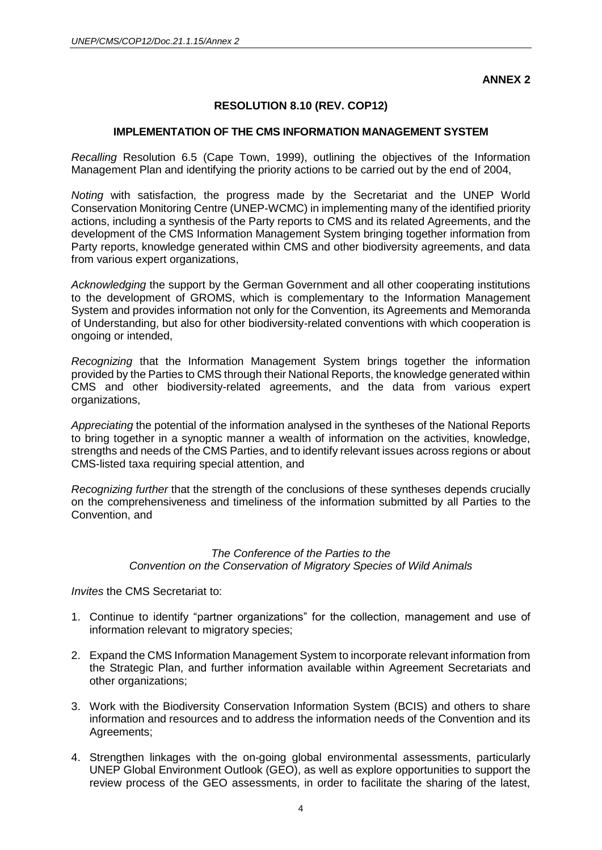**ANNEX 2**

## **RESOLUTION 8.10 (REV. COP12)**

### **IMPLEMENTATION OF THE CMS INFORMATION MANAGEMENT SYSTEM**

*Recalling* Resolution 6.5 (Cape Town, 1999), outlining the objectives of the Information Management Plan and identifying the priority actions to be carried out by the end of 2004,

*Noting* with satisfaction, the progress made by the Secretariat and the UNEP World Conservation Monitoring Centre (UNEP-WCMC) in implementing many of the identified priority actions, including a synthesis of the Party reports to CMS and its related Agreements, and the development of the CMS Information Management System bringing together information from Party reports, knowledge generated within CMS and other biodiversity agreements, and data from various expert organizations,

*Acknowledging* the support by the German Government and all other cooperating institutions to the development of GROMS, which is complementary to the Information Management System and provides information not only for the Convention, its Agreements and Memoranda of Understanding, but also for other biodiversity-related conventions with which cooperation is ongoing or intended,

*Recognizing* that the Information Management System brings together the information provided by the Parties to CMS through their National Reports, the knowledge generated within CMS and other biodiversity-related agreements, and the data from various expert organizations,

*Appreciating* the potential of the information analysed in the syntheses of the National Reports to bring together in a synoptic manner a wealth of information on the activities, knowledge, strengths and needs of the CMS Parties, and to identify relevant issues across regions or about CMS-listed taxa requiring special attention, and

*Recognizing further* that the strength of the conclusions of these syntheses depends crucially on the comprehensiveness and timeliness of the information submitted by all Parties to the Convention, and

## *The Conference of the Parties to the Convention on the Conservation of Migratory Species of Wild Animals*

*Invites* the CMS Secretariat to:

- 1. Continue to identify "partner organizations" for the collection, management and use of information relevant to migratory species;
- 2. Expand the CMS Information Management System to incorporate relevant information from the Strategic Plan, and further information available within Agreement Secretariats and other organizations;
- 3. Work with the Biodiversity Conservation Information System (BCIS) and others to share information and resources and to address the information needs of the Convention and its Agreements;
- 4. Strengthen linkages with the on-going global environmental assessments, particularly UNEP Global Environment Outlook (GEO), as well as explore opportunities to support the review process of the GEO assessments, in order to facilitate the sharing of the latest,